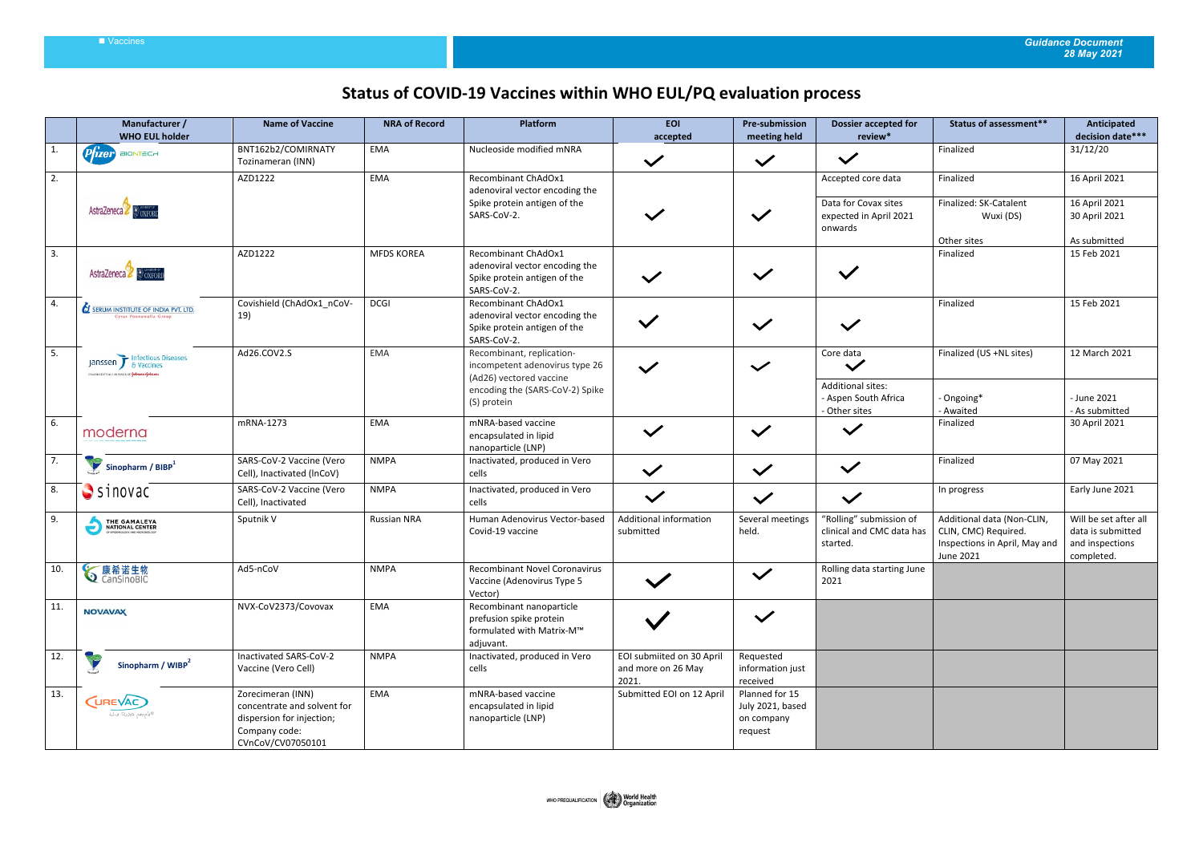## Vaccines *Guidance Document 28 May 2021*

## **Status of COVID-19 Vaccines within WHO EUL/PQ evaluation process**

|              | Manufacturer /<br><b>WHO EUL holder</b>                                     | <b>Name of Vaccine</b>                                                                                              | <b>NRA of Record</b> | Platform                                                                                                                                 | <b>EOI</b><br>accepted                                   | <b>Pre-submission</b><br>meeting held                       | <b>Dossier accepted for</b><br>review*                                                         | Status of assessment**                                                                           | <b>Anticipated</b><br>decision date***                                     |
|--------------|-----------------------------------------------------------------------------|---------------------------------------------------------------------------------------------------------------------|----------------------|------------------------------------------------------------------------------------------------------------------------------------------|----------------------------------------------------------|-------------------------------------------------------------|------------------------------------------------------------------------------------------------|--------------------------------------------------------------------------------------------------|----------------------------------------------------------------------------|
| $\mathbf{1}$ | $P$ $\hat{I}$ zer BIONTECH                                                  | BNT162b2/COMIRNATY<br>Tozinameran (INN)                                                                             | EMA                  | Nucleoside modified mNRA                                                                                                                 | $\checkmark$                                             | $\checkmark$                                                | $\checkmark$                                                                                   | Finalized                                                                                        | 31/12/20                                                                   |
| 2.           | <b>AstraZeneca</b>                                                          | AZD1222                                                                                                             | EMA                  | Recombinant ChAdOx1<br>adenoviral vector encoding the<br>Spike protein antigen of the<br>SARS-CoV-2.                                     |                                                          | $\checkmark$                                                | Accepted core data<br>Data for Covax sites<br>expected in April 2021<br>onwards                | Finalized<br>Finalized: SK-Catalent<br>Wuxi (DS)<br>Other sites                                  | 16 April 2021<br>16 April 2021<br>30 April 2021<br>As submitted            |
| 3.           | AstraZeneca BoxForu                                                         | AZD1222                                                                                                             | <b>MFDS KOREA</b>    | Recombinant ChAdOx1<br>adenoviral vector encoding the<br>Spike protein antigen of the<br>SARS-CoV-2.                                     |                                                          | $\checkmark$                                                |                                                                                                | Finalized                                                                                        | 15 Feb 2021                                                                |
| 4.           | <b>SERUM INSTITUTE OF INDIA PVT. LTD</b><br>Cyrus Poonawalla Group          | Covishield (ChAdOx1_nCoV-<br>19)                                                                                    | <b>DCGI</b>          | Recombinant ChAdOx1<br>adenoviral vector encoding the<br>Spike protein antigen of the<br>SARS-CoV-2.                                     | $\checkmark$                                             | $\checkmark$                                                | $\checkmark$                                                                                   | Finalized                                                                                        | 15 Feb 2021                                                                |
| 5.           | Janssen F Infectious Diseases<br>PHARMACEUTICAL CONPANES OF YEAHION-YEAHIEN | Ad26.COV2.S                                                                                                         | EMA                  | Recombinant, replication-<br>incompetent adenovirus type 26<br>(Ad26) vectored vaccine<br>encoding the (SARS-CoV-2) Spike<br>(S) protein |                                                          | $\checkmark$                                                | Core data<br>$\checkmark$<br><b>Additional sites:</b><br>- Aspen South Africa<br>- Other sites | Finalized (US +NL sites)<br>- Ongoing*<br>- Awaited                                              | 12 March 2021<br>- June 2021<br>- As submitted                             |
| 6.           | moderna                                                                     | mRNA-1273                                                                                                           | EMA                  | mNRA-based vaccine<br>encapsulated in lipid<br>nanoparticle (LNP)                                                                        | $\checkmark$                                             | $\checkmark$                                                | $\checkmark$                                                                                   | Finalized                                                                                        | 30 April 2021                                                              |
| 7.           | $\sum$ Sinopharm / BIBP $^1$                                                | SARS-CoV-2 Vaccine (Vero<br>Cell), Inactivated (InCoV)                                                              | <b>NMPA</b>          | Inactivated, produced in Vero<br>cells                                                                                                   | $\checkmark$                                             | $\checkmark$                                                | $\checkmark$                                                                                   | Finalized                                                                                        | 07 May 2021                                                                |
| 8.           | $S$ inovac                                                                  | SARS-CoV-2 Vaccine (Vero<br>Cell), Inactivated                                                                      | <b>NMPA</b>          | Inactivated, produced in Vero<br>cells                                                                                                   | $\checkmark$                                             | $\checkmark$                                                | $\checkmark$                                                                                   | In progress                                                                                      | Early June 2021                                                            |
| 9.           | THE GAMALEYA                                                                | Sputnik V                                                                                                           | <b>Russian NRA</b>   | Human Adenovirus Vector-based<br>Covid-19 vaccine                                                                                        | Additional information<br>submitted                      | Several meetings<br>held.                                   | "Rolling" submission of<br>clinical and CMC data has<br>started.                               | Additional data (Non-CLIN,<br>CLIN, CMC) Required.<br>Inspections in April, May and<br>June 2021 | Will be set after all<br>data is submitted<br>and inspections<br>completed |
| 10.          | <b>√康希诺生物</b>                                                               | Ad5-nCoV                                                                                                            | <b>NMPA</b>          | Recombinant Novel Coronavirus<br>Vaccine (Adenovirus Type 5<br>Vector)                                                                   |                                                          | $\checkmark$                                                | Rolling data starting June<br>2021                                                             |                                                                                                  |                                                                            |
| 11.          | <b>NOVAVAX</b>                                                              | NVX-CoV2373/Covovax                                                                                                 | EMA                  | Recombinant nanoparticle<br>prefusion spike protein<br>formulated with Matrix-M™<br>adjuvant.                                            |                                                          | $\checkmark$                                                |                                                                                                |                                                                                                  |                                                                            |
| 12.          | Y<br>Sinopharm / WIBP <sup>2</sup>                                          | Inactivated SARS-CoV-2<br>Vaccine (Vero Cell)                                                                       | <b>NMPA</b>          | Inactivated, produced in Vero<br>cells                                                                                                   | EOI submiited on 30 April<br>and more on 26 May<br>2021. | Requested<br>information just<br>received                   |                                                                                                |                                                                                                  |                                                                            |
| 13.          | (UREVAC)<br>the RNA people®                                                 | Zorecimeran (INN)<br>concentrate and solvent for<br>dispersion for injection;<br>Company code:<br>CVnCoV/CV07050101 | EMA                  | mNRA-based vaccine<br>encapsulated in lipid<br>nanoparticle (LNP)                                                                        | Submitted EOI on 12 April                                | Planned for 15<br>July 2021, based<br>on company<br>request |                                                                                                |                                                                                                  |                                                                            |